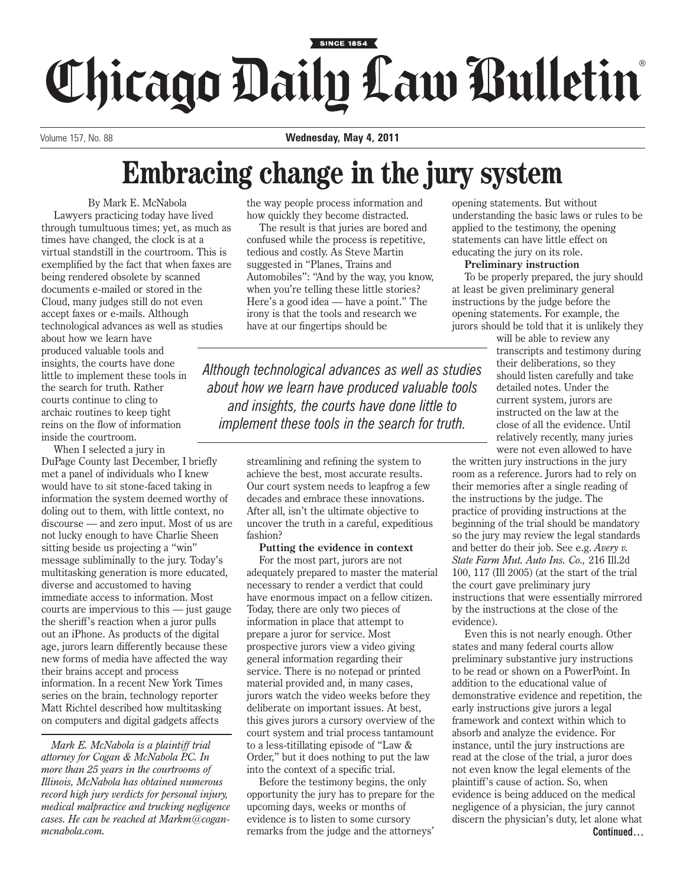## SINCE 1854 Chicago Daily Law Bulletin

Volume 157, No. 88 **Wednesday, May 4, 2011**

## **Embracing change in the jury system**

By Mark E. McNabola Lawyers practicing today have lived through tumultuous times; yet, as much as times have changed, the clock is at a virtual standstill in the courtroom. This is exemplified by the fact that when faxes are being rendered obsolete by scanned documents e-mailed or stored in the Cloud, many judges still do not even accept faxes or e-mails. Although technological advances as well as studies about how we learn have

produced valuable tools and insights, the courts have done little to implement these tools in the search for truth. Rather courts continue to cling to archaic routines to keep tight reins on the flow of information inside the courtroom.

When I selected a jury in DuPage County last December, I briefly met a panel of individuals who I knew would have to sit stone-faced taking in information the system deemed worthy of doling out to them, with little context, no discourse — and zero input. Most of us are not lucky enough to have Charlie Sheen sitting beside us projecting a "win" message subliminally to the jury. Today's multitasking generation is more educated, diverse and accustomed to having immediate access to information. Most courts are impervious to this — just gauge the sheriff's reaction when a juror pulls out an iPhone. As products of the digital age, jurors learn differently because these new forms of media have affected the way their brains accept and process information. In a recent New York Times series on the brain, technology reporter Matt Richtel described how multitasking on computers and digital gadgets affects

*Mark E. McNabola is a plaintiff trial attorney for Cogan & McNabola P.C. In more than 25 years in the courtrooms of Illinois, McNabola has obtained numerous record high jury verdicts for personal injury, medical malpractice and trucking negligence cases. He can be reached at Markm@coganmcnabola.com.*

the way people process information and how quickly they become distracted.

The result is that juries are bored and confused while the process is repetitive, tedious and costly. As Steve Martin suggested in "Planes, Trains and Automobiles": "And by the way, you know, when you're telling these little stories? Here's a good idea — have a point." The irony is that the tools and research we have at our fingertips should be

*Although technological advances as well as studies about how we learn have produced valuable tools and insights, the courts have done little to implement these tools in the search for truth.*

> streamlining and refining the system to achieve the best, most accurate results. Our court system needs to leapfrog a few decades and embrace these innovations. After all, isn't the ultimate objective to uncover the truth in a careful, expeditious fashion?

**Putting the evidence in context**

For the most part, jurors are not adequately prepared to master the material necessary to render a verdict that could have enormous impact on a fellow citizen. Today, there are only two pieces of information in place that attempt to prepare a juror for service. Most prospective jurors view a video giving general information regarding their service. There is no notepad or printed material provided and, in many cases, jurors watch the video weeks before they deliberate on important issues. At best, this gives jurors a cursory overview of the court system and trial process tantamount to a less-titillating episode of "Law & Order," but it does nothing to put the law into the context of a specific trial.

Before the testimony begins, the only opportunity the jury has to prepare for the upcoming days, weeks or months of evidence is to listen to some cursory remarks from the judge and the attorneys'

opening statements. But without understanding the basic laws or rules to be applied to the testimony, the opening statements can have little effect on educating the jury on its role.

## **Preliminary instruction**

To be properly prepared, the jury should at least be given preliminary general instructions by the judge before the opening statements. For example, the jurors should be told that it is unlikely they

will be able to review any transcripts and testimony during their deliberations, so they should listen carefully and take detailed notes. Under the current system, jurors are instructed on the law at the close of all the evidence. Until relatively recently, many juries were not even allowed to have

the written jury instructions in the jury room as a reference. Jurors had to rely on their memories after a single reading of the instructions by the judge. The practice of providing instructions at the beginning of the trial should be mandatory so the jury may review the legal standards and better do their job. See e.g. *Avery v. State Farm Mut. Auto Ins. Co.,* 216 Ill.2d 100, 117 (Ill 2005) (at the start of the trial the court gave preliminary jury instructions that were essentially mirrored by the instructions at the close of the evidence).

Even this is not nearly enough. Other states and many federal courts allow preliminary substantive jury instructions to be read or shown on a PowerPoint. In addition to the educational value of demonstrative evidence and repetition, the early instructions give jurors a legal framework and context within which to absorb and analyze the evidence. For instance, until the jury instructions are read at the close of the trial, a juror does not even know the legal elements of the plaintiff's cause of action. So, when evidence is being adduced on the medical negligence of a physician, the jury cannot discern the physician's duty, let alone what